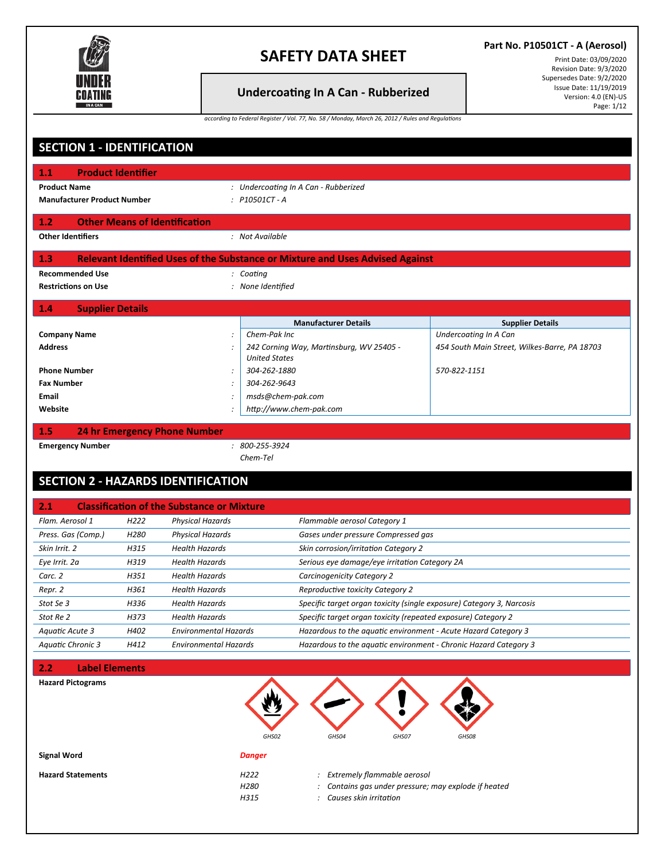

## **Undercoa�ng In A Can - Rubberized**

**Part No. P10501CT - A (Aerosol)**

Print Date: 03/09/2020 Revision Date: 9/3/2020 Supersedes Date: 9/2/2020 Issue Date: 11/19/2019 Version: 4.0 (EN)-US Page: 1/12

*according to Federal Register / Vol. 77, No. 58 / Monday, March 26, 2012 / Rules and Regulations*

| <b>SECTION 1 - IDENTIFICATION</b>               |                                                                                                          |                                                   |                                  |                                                                                      |                                               |  |
|-------------------------------------------------|----------------------------------------------------------------------------------------------------------|---------------------------------------------------|----------------------------------|--------------------------------------------------------------------------------------|-----------------------------------------------|--|
| 1.1                                             | <b>Product Identifier</b>                                                                                |                                                   |                                  |                                                                                      |                                               |  |
| <b>Product Name</b>                             | : Undercoating In A Can - Rubberized<br><b>Manufacturer Product Number</b><br>: P10501CT-A               |                                                   |                                  |                                                                                      |                                               |  |
| 1.2                                             |                                                                                                          | <b>Other Means of Identification</b>              |                                  |                                                                                      |                                               |  |
| <b>Other Identifiers</b>                        |                                                                                                          |                                                   | : Not Available                  |                                                                                      |                                               |  |
| 1.3                                             |                                                                                                          |                                                   |                                  | <b>Relevant Identified Uses of the Substance or Mixture and Uses Advised Against</b> |                                               |  |
| <b>Recommended Use</b>                          |                                                                                                          |                                                   | : Coating                        |                                                                                      |                                               |  |
| <b>Restrictions on Use</b><br>: None Identified |                                                                                                          |                                                   |                                  |                                                                                      |                                               |  |
| 1.4<br><b>Supplier Details</b>                  |                                                                                                          |                                                   |                                  |                                                                                      |                                               |  |
|                                                 |                                                                                                          |                                                   |                                  | <b>Manufacturer Details</b>                                                          | <b>Supplier Details</b>                       |  |
| <b>Company Name</b>                             |                                                                                                          |                                                   | Chem-Pak Inc                     |                                                                                      | Undercoating In A Can                         |  |
| <b>Address</b>                                  |                                                                                                          |                                                   | <b>United States</b>             | 242 Corning Way, Martinsburg, WV 25405 -                                             | 454 South Main Street, Wilkes-Barre, PA 18703 |  |
| <b>Phone Number</b>                             |                                                                                                          |                                                   | 304-262-1880                     |                                                                                      | 570-822-1151                                  |  |
| <b>Fax Number</b>                               |                                                                                                          | $\ddot{\cdot}$                                    | 304-262-9643                     |                                                                                      |                                               |  |
| Email                                           |                                                                                                          |                                                   | msds@chem-pak.com                |                                                                                      |                                               |  |
| Website                                         |                                                                                                          |                                                   | http://www.chem-pak.com          |                                                                                      |                                               |  |
| 1.5                                             |                                                                                                          | <b>24 hr Emergency Phone Number</b>               |                                  |                                                                                      |                                               |  |
| <b>Emergency Number</b>                         |                                                                                                          |                                                   | $: 800 - 255 - 3924$<br>Chem-Tel |                                                                                      |                                               |  |
|                                                 |                                                                                                          | <b>SECTION 2 - HAZARDS IDENTIFICATION</b>         |                                  |                                                                                      |                                               |  |
| 2.1                                             |                                                                                                          | <b>Classification of the Substance or Mixture</b> |                                  |                                                                                      |                                               |  |
| Flam. Aerosol 1                                 | H <sub>222</sub>                                                                                         | <b>Physical Hazards</b>                           |                                  | Flammable aerosol Category 1                                                         |                                               |  |
| Press. Gas (Comp.)                              | H <sub>280</sub>                                                                                         | Physical Hazards                                  |                                  | Gases under pressure Compressed gas                                                  |                                               |  |
| Skin Irrit. 2                                   | H315                                                                                                     | <b>Health Hazards</b>                             |                                  | Skin corrosion/irritation Category 2                                                 |                                               |  |
| Eye Irrit. 2a                                   | H319                                                                                                     | <b>Health Hazards</b>                             |                                  | Serious eye damage/eye irritation Category 2A                                        |                                               |  |
| Carc. 2                                         | H351                                                                                                     | <b>Health Hazards</b>                             |                                  | Carcinogenicity Category 2                                                           |                                               |  |
| Repr. 2                                         | H361                                                                                                     | <b>Health Hazards</b>                             |                                  | Reproductive toxicity Category 2                                                     |                                               |  |
| Stot Se 3                                       | H336                                                                                                     | <b>Health Hazards</b>                             |                                  | Specific target organ toxicity (single exposure) Category 3, Narcosis                |                                               |  |
| Stot Re 2                                       | H373                                                                                                     | <b>Health Hazards</b>                             |                                  | Specific target organ toxicity (repeated exposure) Category 2                        |                                               |  |
| Aquatic Acute 3                                 | H402                                                                                                     | <b>Environmental Hazards</b>                      |                                  | Hazardous to the aquatic environment - Acute Hazard Category 3                       |                                               |  |
| <b>Aquatic Chronic 3</b>                        | H412<br><b>Environmental Hazards</b><br>Hazardous to the aquatic environment - Chronic Hazard Category 3 |                                                   |                                  |                                                                                      |                                               |  |
| 2.2<br><b>Label Elements</b>                    |                                                                                                          |                                                   |                                  |                                                                                      |                                               |  |

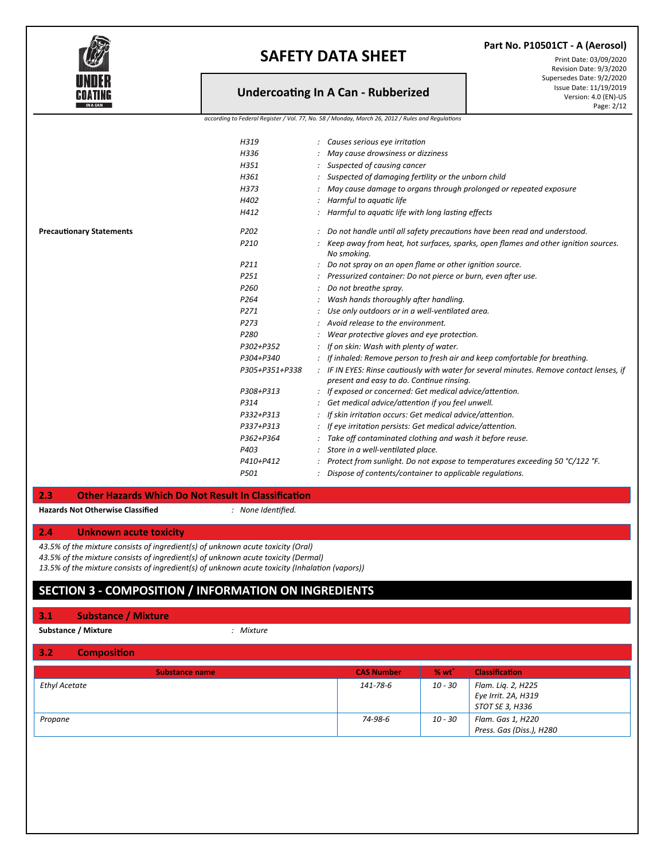

### **Undercoa�ng In A Can - Rubberized**

**Part No. P10501CT - A (Aerosol)**

Print Date: 03/09/2020 Revision Date: 9/3/2020 Supersedes Date: 9/2/2020 Issue Date: 11/19/2019 Version: 4.0 (EN)-US Page: 2/12

*according to Federal Register / Vol. 77, No. 58 / Monday, March 26, 2012 / Rules and Regulations*

|                                 | H319             | : Causes serious eye irritation                                                          |
|---------------------------------|------------------|------------------------------------------------------------------------------------------|
|                                 | H336             | May cause drowsiness or dizziness                                                        |
|                                 | H351             | Suspected of causing cancer                                                              |
|                                 | H361             | : Suspected of damaging fertility or the unborn child                                    |
|                                 | H373             | May cause damage to organs through prolonged or repeated exposure                        |
|                                 | H402             | Harmful to aquatic life                                                                  |
|                                 | H412             | : Harmful to aquatic life with long lasting effects                                      |
| <b>Precautionary Statements</b> | P <sub>202</sub> | : Do not handle until all safety precautions have been read and understood.              |
|                                 | P210             | Keep away from heat, hot surfaces, sparks, open flames and other ignition sources.       |
|                                 |                  | No smoking.                                                                              |
|                                 | P <sub>211</sub> | Do not spray on an open flame or other ignition source.                                  |
|                                 | P <sub>251</sub> | Pressurized container: Do not pierce or burn, even after use.                            |
|                                 | P <sub>260</sub> | Do not breathe spray.                                                                    |
|                                 | P <sub>264</sub> | Wash hands thoroughly after handling.                                                    |
|                                 | P <sub>271</sub> | Use only outdoors or in a well-ventilated area.                                          |
|                                 | P <sub>273</sub> | $:$ Avoid release to the environment.                                                    |
|                                 | P280             | Wear protective gloves and eye protection.                                               |
|                                 | P302+P352        | : If on skin: Wash with plenty of water.                                                 |
|                                 | P304+P340        | : If inhaled: Remove person to fresh air and keep comfortable for breathing.             |
|                                 | P305+P351+P338   | : IF IN EYES: Rinse cautiously with water for several minutes. Remove contact lenses, if |
|                                 |                  | present and easy to do. Continue rinsing.                                                |
|                                 | P308+P313        | : If exposed or concerned: Get medical advice/attention.                                 |
|                                 | P314             | Get medical advice/attention if you feel unwell.                                         |
|                                 | P332+P313        | If skin irritation occurs: Get medical advice/attention.                                 |
|                                 | P337+P313        | If eye irritation persists: Get medical advice/attention.                                |
|                                 | P362+P364        | Take off contaminated clothing and wash it before reuse.                                 |
|                                 | P403             | Store in a well-ventilated place.                                                        |
|                                 | P410+P412        | Protect from sunlight. Do not expose to temperatures exceeding 50 °C/122 °F.             |
|                                 | P501             | Dispose of contents/container to applicable regulations.                                 |
|                                 |                  |                                                                                          |

#### **2.3 Other Hazards Which Do Not Result In Classifica�on**

**Hazards Not Otherwise Classified** *: None Identified.*

#### **2.4 Unknown acute toxicity**

*43.5% of the mixture consists of ingredient(s) of unknown acute toxicity (Oral)*

*43.5% of the mixture consists of ingredient(s) of unknown acute toxicity (Dermal)*

*13.5% of the mixture consists of ingredient(s) of unknown acute toxicity (Inhalation (vapors))*

### **SECTION 3 - COMPOSITION / INFORMATION ON INGREDIENTS**

#### **3.1 Substance / Mixture**

**Substance / Mixture** *: Mixture*

#### **3.2 Composi�on**

| <b>Substance name</b> | <b>CAS Number</b> | % wt    | Classification                                               |
|-----------------------|-------------------|---------|--------------------------------------------------------------|
| <b>Ethyl Acetate</b>  | 141-78-6          | 10 - 30 | Flam. Liq. 2, H225<br>Eye Irrit. 2A, H319<br>STOT SE 3, H336 |
| Propane               | 74-98-6           | 10 - 30 | Flam. Gas 1, H220<br>Press. Gas (Diss.), H280                |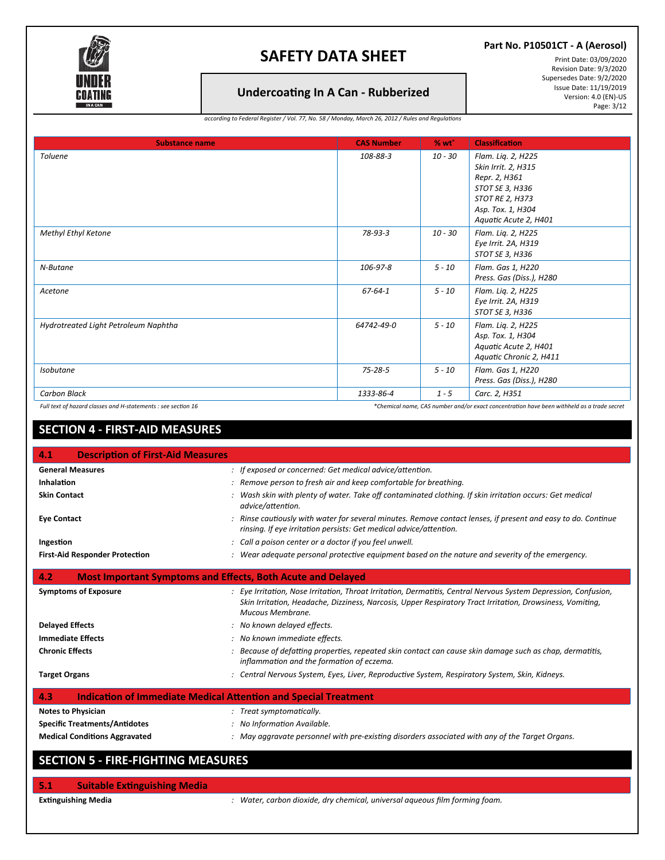

### **Part No. P10501CT - A (Aerosol)**

### **Undercoa�ng In A Can - Rubberized**

Print Date: 03/09/2020 Revision Date: 9/3/2020 Supersedes Date: 9/2/2020 Issue Date: 11/19/2019 Version: 4.0 (EN)-US Page: 3/12

*according to Federal Register / Vol. 77, No. 58 / Monday, March 26, 2012 / Rules and Regulations*

| <b>Substance name</b>                                         | <b>CAS Number</b> | % wt      | <b>Classification</b>                                                                                                                          |
|---------------------------------------------------------------|-------------------|-----------|------------------------------------------------------------------------------------------------------------------------------------------------|
| <b>Toluene</b>                                                | 108-88-3          | $10 - 30$ | Flam. Lig. 2, H225<br>Skin Irrit. 2, H315<br>Repr. 2, H361<br>STOT SE 3, H336<br>STOT RE 2, H373<br>Asp. Tox. 1, H304<br>Aquatic Acute 2, H401 |
| <b>Methyl Ethyl Ketone</b>                                    | 78-93-3           | $10 - 30$ | Flam. Liq. 2, H225<br>Eye Irrit. 2A, H319<br>STOT SE 3, H336                                                                                   |
| N-Butane                                                      | 106-97-8          | $5 - 10$  | Flam. Gas 1, H220<br>Press. Gas (Diss.), H280                                                                                                  |
| Acetone                                                       | 67-64-1           | $5 - 10$  | Flam. Lig. 2, H225<br>Eye Irrit. 2A, H319<br>STOT SE 3, H336                                                                                   |
| Hydrotreated Light Petroleum Naphtha                          | 64742-49-0        | $5 - 10$  | Flam. Liq. 2, H225<br>Asp. Tox. 1, H304<br>Aquatic Acute 2, H401<br>Aquatic Chronic 2, H411                                                    |
| <b>Isobutane</b>                                              | $75 - 28 - 5$     | $5 - 10$  | Flam. Gas 1, H220<br>Press. Gas (Diss.), H280                                                                                                  |
| <b>Carbon Black</b>                                           | 1333-86-4         | $1 - 5$   | Carc. 2, H351                                                                                                                                  |
| Full text of hazard classes and H-statements : see section 16 |                   |           | *Chemical name, CAS number and/or exact concentration have been withheld as a trade secret                                                     |

### **SECTION 4 - FIRST-AID MEASURES**

| <b>Description of First-Aid Measures</b><br>4.1                               |                                                                                                                                                                                                                                                  |
|-------------------------------------------------------------------------------|--------------------------------------------------------------------------------------------------------------------------------------------------------------------------------------------------------------------------------------------------|
| <b>General Measures</b>                                                       | : If exposed or concerned: Get medical advice/attention.                                                                                                                                                                                         |
| Inhalation                                                                    | : Remove person to fresh air and keep comfortable for breathing.                                                                                                                                                                                 |
| <b>Skin Contact</b>                                                           | .    Wash skin with plenty of water. Take off contaminated clothing. If skin irritation occurs: Get medical                                                                                                                                      |
|                                                                               | advice/attention.                                                                                                                                                                                                                                |
| <b>Eye Contact</b>                                                            | : Rinse cautiously with water for several minutes. Remove contact lenses, if present and easy to do. Continue<br>rinsing. If eye irritation persists: Get medical advice/attention.                                                              |
| Ingestion                                                                     | : Call a poison center or a doctor if you feel unwell.                                                                                                                                                                                           |
| <b>First-Aid Responder Protection</b>                                         | : Wear adequate personal protective equipment based on the nature and severity of the emergency.                                                                                                                                                 |
| <b>Most Important Symptoms and Effects, Both Acute and Delayed</b><br>4.2     |                                                                                                                                                                                                                                                  |
| <b>Symptoms of Exposure</b>                                                   | : Eye Irritation, Nose Irritation, Throat Irritation, Dermatitis, Central Nervous System Depression, Confusion,<br>Skin Irritation, Headache, Dizziness, Narcosis, Upper Respiratory Tract Irritation, Drowsiness, Vomiting,<br>Mucous Membrane. |
| <b>Delayed Effects</b>                                                        | : No known delayed effects.                                                                                                                                                                                                                      |
| <b>Immediate Effects</b>                                                      | : No known immediate effects.                                                                                                                                                                                                                    |
| <b>Chronic Effects</b>                                                        | Because of defatting properties, repeated skin contact can cause skin damage such as chap, dermatitis,<br>inflammation and the formation of eczema.                                                                                              |
| <b>Target Organs</b>                                                          | : Central Nervous System, Eyes, Liver, Reproductive System, Respiratory System, Skin, Kidneys.                                                                                                                                                   |
| <b>Indication of Immediate Medical Attention and Special Treatment</b><br>4.3 |                                                                                                                                                                                                                                                  |
| <b>Notes to Physician</b>                                                     | : Treat symptomatically.                                                                                                                                                                                                                         |
| <b>Specific Treatments/Antidotes</b>                                          | : No Information Available.                                                                                                                                                                                                                      |
| <b>Medical Conditions Aggravated</b>                                          | : May aggravate personnel with pre-existing disorders associated with any of the Target Organs.                                                                                                                                                  |
|                                                                               |                                                                                                                                                                                                                                                  |
| <b>SECTION 5 - FIRE-FIGHTING MEASURES</b>                                     |                                                                                                                                                                                                                                                  |

**5.1 Suitable Ex�nguishing Media**

**Ex�nguishing Media** *: Water, carbon dioxide, dry chemical, universal aqueous film forming foam.*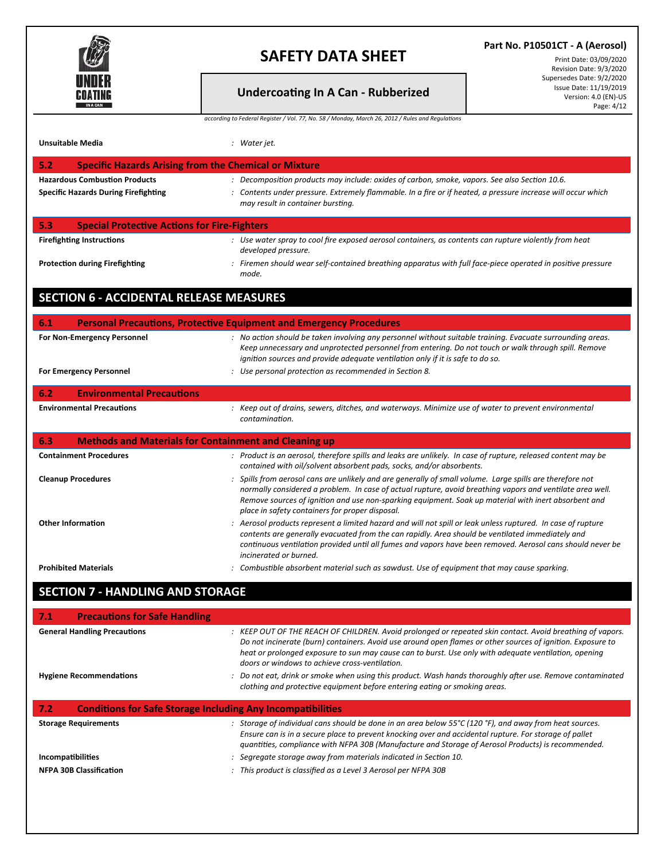

### **Part No. P10501CT - A (Aerosol)**

#### Print Date: 03/09/2020 Revision Date: 9/3/2020 Supersedes Date: 9/2/2020 Issue Date: 11/19/2019 Version: 4.0 (EN)-US Page: 4/12

**Undercoa�ng In A Can - Rubberized** *according to Federal Register / Vol. 77, No. 58 / Monday, March 26, 2012 / Rules and Regulations*

| <b>Unsuitable Media</b>                                                             | : Water jet.                                                                                                                                                                                                                                                                                                                                                                      |
|-------------------------------------------------------------------------------------|-----------------------------------------------------------------------------------------------------------------------------------------------------------------------------------------------------------------------------------------------------------------------------------------------------------------------------------------------------------------------------------|
| <b>Specific Hazards Arising from the Chemical or Mixture</b><br>5.2                 |                                                                                                                                                                                                                                                                                                                                                                                   |
| <b>Hazardous Combustion Products</b><br><b>Specific Hazards During Firefighting</b> | : Decomposition products may include: oxides of carbon, smoke, vapors. See also Section 10.6.<br>: Contents under pressure. Extremely flammable. In a fire or if heated, a pressure increase will occur which                                                                                                                                                                     |
|                                                                                     | may result in container bursting.                                                                                                                                                                                                                                                                                                                                                 |
| 5.3<br><b>Special Protective Actions for Fire-Fighters</b>                          |                                                                                                                                                                                                                                                                                                                                                                                   |
| <b>Firefighting Instructions</b>                                                    | : Use water spray to cool fire exposed aerosol containers, as contents can rupture violently from heat<br>developed pressure.                                                                                                                                                                                                                                                     |
| <b>Protection during Firefighting</b>                                               | : Firemen should wear self-contained breathing apparatus with full face-piece operated in positive pressure<br>mode.                                                                                                                                                                                                                                                              |
| <b>SECTION 6 - ACCIDENTAL RELEASE MEASURES</b>                                      |                                                                                                                                                                                                                                                                                                                                                                                   |
| 6.1                                                                                 | <b>Personal Precautions, Protective Equipment and Emergency Procedures</b>                                                                                                                                                                                                                                                                                                        |
| For Non-Emergency Personnel                                                         | : No action should be taken involving any personnel without suitable training. Evacuate surrounding areas.<br>Keep unnecessary and unprotected personnel from entering. Do not touch or walk through spill. Remove<br>ignition sources and provide adequate ventilation only if it is safe to do so.                                                                              |
| <b>For Emergency Personnel</b>                                                      | : Use personal protection as recommended in Section 8.                                                                                                                                                                                                                                                                                                                            |
| <b>Environmental Precautions</b><br>6.2                                             |                                                                                                                                                                                                                                                                                                                                                                                   |
| <b>Environmental Precautions</b>                                                    | : Keep out of drains, sewers, ditches, and waterways. Minimize use of water to prevent environmental<br>contamination.                                                                                                                                                                                                                                                            |
| 6.3<br><b>Methods and Materials for Containment and Cleaning up</b>                 |                                                                                                                                                                                                                                                                                                                                                                                   |
| <b>Containment Procedures</b>                                                       | : Product is an aerosol, therefore spills and leaks are unlikely. In case of rupture, released content may be<br>contained with oil/solvent absorbent pads, socks, and/or absorbents.                                                                                                                                                                                             |
| <b>Cleanup Procedures</b>                                                           | : Spills from aerosol cans are unlikely and are generally of small volume. Large spills are therefore not<br>normally considered a problem. In case of actual rupture, avoid breathing vapors and ventilate area well.<br>Remove sources of ignition and use non-sparking equipment. Soak up material with inert absorbent and<br>place in safety containers for proper disposal. |
| <b>Other Information</b>                                                            | : Aerosol products represent a limited hazard and will not spill or leak unless ruptured. In case of rupture<br>contents are generally evacuated from the can rapidly. Area should be ventilated immediately and<br>continuous ventilation provided until all fumes and vapors have been removed. Aerosol cans should never be<br>incinerated or burned.                          |
| <b>Prohibited Materials</b>                                                         | : Combustible absorbent material such as sawdust. Use of equipment that may cause sparking.                                                                                                                                                                                                                                                                                       |
| <b>SECTION 7 - HANDLING AND STORAGE</b>                                             |                                                                                                                                                                                                                                                                                                                                                                                   |

| 7.1<br><b>Precautions for Safe Handling</b>                               |                                                                                                                                                                                                                                                                                                                                                                                     |
|---------------------------------------------------------------------------|-------------------------------------------------------------------------------------------------------------------------------------------------------------------------------------------------------------------------------------------------------------------------------------------------------------------------------------------------------------------------------------|
| <b>General Handling Precautions</b>                                       | : KEEP OUT OF THE REACH OF CHILDREN. Avoid prolonged or repeated skin contact. Avoid breathing of vapors.<br>Do not incinerate (burn) containers. Avoid use around open flames or other sources of ignition. Exposure to<br>heat or prolonged exposure to sun may cause can to burst. Use only with adequate ventilation, opening<br>doors or windows to achieve cross-ventilation. |
| <b>Hygiene Recommendations</b>                                            | : Do not eat, drink or smoke when using this product. Wash hands thoroughly after use. Remove contaminated<br>clothing and protective equipment before entering eating or smoking areas.                                                                                                                                                                                            |
|                                                                           |                                                                                                                                                                                                                                                                                                                                                                                     |
| 7.2<br><b>Conditions for Safe Storage Including Any Incompatibilities</b> |                                                                                                                                                                                                                                                                                                                                                                                     |
| <b>Storage Requirements</b>                                               | : Storage of individual cans should be done in an area below $55^{\circ}$ C (120 °F), and away from heat sources.<br>Ensure can is in a secure place to prevent knocking over and accidental rupture. For storage of pallet<br>guantities, compliance with NFPA 30B (Manufacture and Storage of Aerosol Products) is recommended.                                                   |
| Incompatibilities                                                         | : Segregate storage away from materials indicated in Section 10.                                                                                                                                                                                                                                                                                                                    |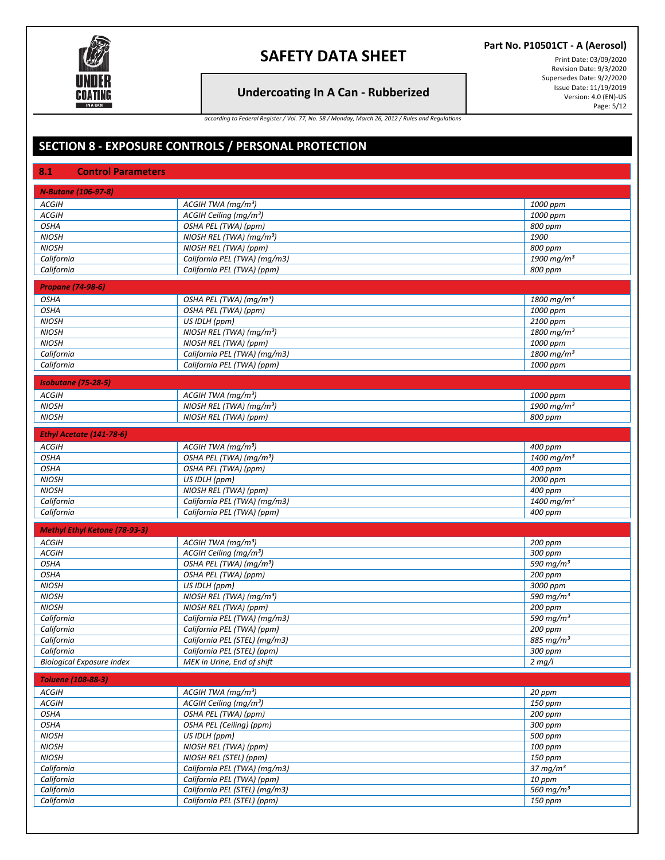

## **Undercoa�ng In A Can - Rubberized**

**Part No. P10501CT - A (Aerosol)**

Print Date: 03/09/2020 Revision Date: 9/3/2020 Supersedes Date: 9/2/2020 Issue Date: 11/19/2019 Version: 4.0 (EN)-US Page: 5/12

*according to Federal Register / Vol. 77, No. 58 / Monday, March 26, 2012 / Rules and Regulations*

# **SECTION 8 - EXPOSURE CONTROLS / PERSONAL PROTECTION**

| 8.1<br><b>Control Parameters</b>     |                                      |                          |
|--------------------------------------|--------------------------------------|--------------------------|
| <b>N-Butane (106-97-8)</b>           |                                      |                          |
| <b>ACGIH</b>                         | ACGIH TWA (mq/m <sup>3</sup> )       | 1000 ppm                 |
| <b>ACGIH</b>                         | ACGIH Ceiling (mg/m <sup>3</sup> )   | 1000 ppm                 |
| <b>OSHA</b>                          | OSHA PEL (TWA) (ppm)                 | 800 ppm                  |
| <b>NIOSH</b>                         | NIOSH REL (TWA) (mg/m <sup>3</sup> ) | 1900                     |
| <b>NIOSH</b>                         | NIOSH REL (TWA) (ppm)                | 800 ppm                  |
| California                           | California PEL (TWA) (mg/m3)         | 1900 mg/m <sup>3</sup>   |
| California                           | California PEL (TWA) (ppm)           | 800 ppm                  |
|                                      |                                      |                          |
| <b>Propane (74-98-6)</b>             |                                      |                          |
| <b>OSHA</b>                          | OSHA PEL (TWA) (mg/m <sup>3</sup> )  | $1800 \,\mathrm{mg/m^3}$ |
| <b>OSHA</b>                          | OSHA PEL (TWA) (ppm)                 | 1000 ppm                 |
| <b>NIOSH</b>                         | US IDLH (ppm)                        | 2100 ppm                 |
| <b>NIOSH</b>                         | NIOSH REL (TWA) (mg/m <sup>3</sup> ) | $1800 \,\mathrm{mg/m^3}$ |
| <b>NIOSH</b>                         | NIOSH REL (TWA) (ppm)                | 1000 ppm                 |
| California                           | California PEL (TWA) (mg/m3)         | 1800 mg/m <sup>3</sup>   |
| California                           | California PEL (TWA) (ppm)           | 1000 ppm                 |
| <b>Isobutane (75-28-5)</b>           |                                      |                          |
| ACGIH                                | ACGIH TWA $(mg/m^3)$                 | 1000 ppm                 |
| <b>NIOSH</b>                         | NIOSH REL (TWA) (mg/m <sup>3</sup> ) | 1900 mg/m <sup>3</sup>   |
| <b>NIOSH</b>                         | NIOSH REL (TWA) (ppm)                | 800 ppm                  |
|                                      |                                      |                          |
| Ethyl Acetate (141-78-6)             |                                      |                          |
| <b>ACGIH</b>                         | ACGIH TWA ( $mg/m^3$ )               | 400 ppm                  |
| <b>OSHA</b>                          | OSHA PEL (TWA) (mg/m <sup>3</sup> )  | $1400 \,\mathrm{mg/m^3}$ |
| <b>OSHA</b>                          | OSHA PEL (TWA) (ppm)                 | 400 ppm                  |
| <b>NIOSH</b>                         | US IDLH (ppm)                        | 2000 ppm                 |
| <b>NIOSH</b>                         | NIOSH REL (TWA) (ppm)                | 400 ppm                  |
| California                           | California PEL (TWA) (mg/m3)         | $1400$ mg/m <sup>3</sup> |
| California                           | California PEL (TWA) (ppm)           | 400 ppm                  |
| <b>Methyl Ethyl Ketone (78-93-3)</b> |                                      |                          |
| <b>ACGIH</b>                         | ACGIH TWA $(mg/m^3)$                 | 200 ppm                  |
| <b>ACGIH</b>                         | $ACGH$ Ceiling (mg/m <sup>3</sup> )  | 300 ppm                  |
| <b>OSHA</b>                          | OSHA PEL (TWA) (mg/m <sup>3</sup> )  | 590 mg/m $3$             |
| <b>OSHA</b>                          | OSHA PEL (TWA) (ppm)                 | 200 ppm                  |
| <b>NIOSH</b>                         | US IDLH (ppm)                        | 3000 ppm                 |
| <b>NIOSH</b>                         | NIOSH REL (TWA) $(mg/m^3)$           | 590 mg/m <sup>3</sup>    |
| <b>NIOSH</b>                         | NIOSH REL (TWA) (ppm)                | 200 ppm                  |
| California                           | California PEL (TWA) (mg/m3)         | 590 mg/ $m3$             |
| California                           | California PEL (TWA) (ppm)           | 200 ppm                  |
| California                           | California PEL (STEL) (mg/m3)        | 885 mg/m <sup>3</sup>    |
| California                           | California PEL (STEL) (ppm)          | 300 ppm                  |
| <b>Biological Exposure Index</b>     | MEK in Urine, End of shift           | $2$ mg/l                 |
|                                      |                                      |                          |
| <b>Toluene (108-88-3)</b>            |                                      |                          |
| <b>ACGIH</b>                         | ACGIH TWA (mg/m <sup>3</sup> )       | 20 ppm                   |
| <b>ACGIH</b>                         | ACGIH Ceiling (mg/m <sup>3</sup> )   | 150 ppm                  |
| <b>OSHA</b>                          | OSHA PEL (TWA) (ppm)                 | 200 ppm                  |
| <b>OSHA</b>                          | OSHA PEL (Ceiling) (ppm)             | 300 ppm                  |
| <b>NIOSH</b>                         | US IDLH (ppm)                        | 500 ppm                  |
| <b>NIOSH</b>                         | NIOSH REL (TWA) (ppm)                | 100 ppm                  |
| <b>NIOSH</b>                         | NIOSH REL (STEL) (ppm)               | 150 ppm                  |
| California                           | California PEL (TWA) (mg/m3)         | $37 \text{ mg/m}^3$      |
| California                           | California PEL (TWA) (ppm)           | 10 ppm                   |
| California                           | California PEL (STEL) (mg/m3)        | 560 mg/m <sup>3</sup>    |
| California                           | California PEL (STEL) (ppm)          | 150 ppm                  |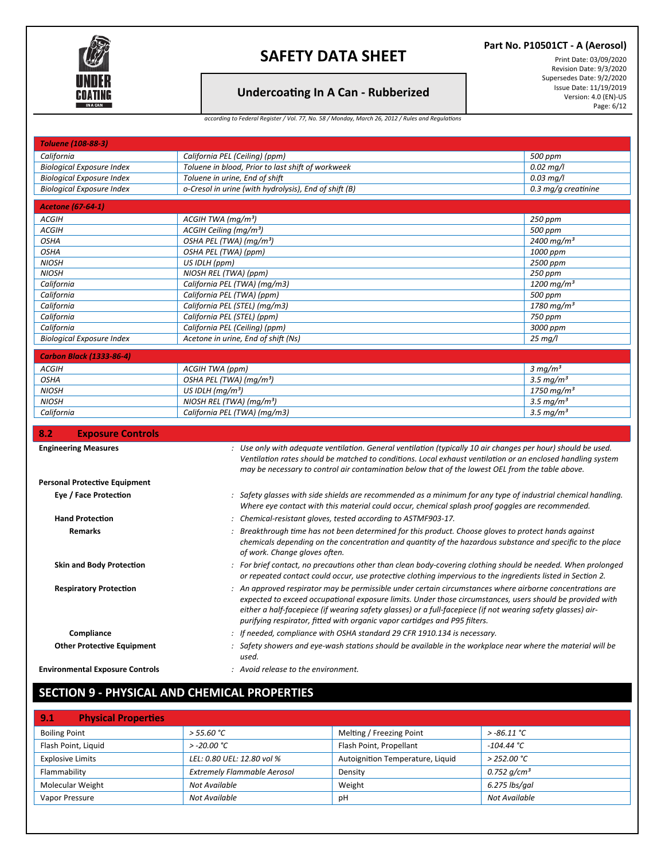

## **Undercoa�ng In A Can - Rubberized**

**Part No. P10501CT - A (Aerosol)**

Print Date: 03/09/2020 Revision Date: 9/3/2020 Supersedes Date: 9/2/2020 Issue Date: 11/19/2019 Version: 4.0 (EN)-US Page: 6/12

#### *according to Federal Register / Vol. 77, No. 58 / Monday, March 26, 2012 / Rules and Regulations*

| <b>Toluene (108-88-3)</b>              |                                                                                                                                                                                                                    |                          |
|----------------------------------------|--------------------------------------------------------------------------------------------------------------------------------------------------------------------------------------------------------------------|--------------------------|
| California                             | California PEL (Ceiling) (ppm)                                                                                                                                                                                     | 500 ppm                  |
| <b>Biological Exposure Index</b>       | Toluene in blood, Prior to last shift of workweek                                                                                                                                                                  | $0.02$ mg/l              |
| <b>Biological Exposure Index</b>       | Toluene in urine, End of shift                                                                                                                                                                                     | $0.03$ mg/l              |
| <b>Biological Exposure Index</b>       | o-Cresol in urine (with hydrolysis), End of shift (B)                                                                                                                                                              | 0.3 mg/g creatinine      |
| <b>Acetone (67-64-1)</b>               |                                                                                                                                                                                                                    |                          |
| ACGIH                                  | ACGH TWA (mq/m <sup>3</sup> )                                                                                                                                                                                      | 250 ppm                  |
| <b>ACGIH</b>                           | ACGIH Ceiling (mg/m <sup>3</sup> )                                                                                                                                                                                 | 500 ppm                  |
| <b>OSHA</b>                            | OSHA PEL (TWA) (mg/m <sup>3</sup> )                                                                                                                                                                                | 2400 mg/m <sup>3</sup>   |
| <b>OSHA</b>                            | OSHA PEL (TWA) (ppm)                                                                                                                                                                                               | 1000 ppm                 |
| <b>NIOSH</b>                           | US IDLH (ppm)                                                                                                                                                                                                      | 2500 ppm                 |
| <b>NIOSH</b>                           | NIOSH REL (TWA) (ppm)                                                                                                                                                                                              | 250 ppm                  |
| California                             | California PEL (TWA) (mg/m3)                                                                                                                                                                                       | 1200 mg/m <sup>3</sup>   |
| California                             | California PEL (TWA) (ppm)                                                                                                                                                                                         | 500 ppm                  |
| California                             | California PEL (STEL) (mg/m3)                                                                                                                                                                                      | $1780 \,\mathrm{mg/m^3}$ |
| California                             | California PEL (STEL) (ppm)                                                                                                                                                                                        | 750 ppm                  |
| California                             | California PEL (Ceiling) (ppm)                                                                                                                                                                                     | 3000 ppm                 |
| <b>Biological Exposure Index</b>       | Acetone in urine, End of shift (Ns)                                                                                                                                                                                | $25$ mg/l                |
|                                        |                                                                                                                                                                                                                    |                          |
| <b>Carbon Black (1333-86-4)</b>        |                                                                                                                                                                                                                    |                          |
| <b>ACGIH</b>                           | ACGIH TWA (ppm)                                                                                                                                                                                                    | $3 \, mg/m^3$            |
| <b>OSHA</b>                            | OSHA PEL (TWA) (mg/m <sup>3</sup> )                                                                                                                                                                                | 3.5 $mq/m3$              |
| <b>NIOSH</b>                           | US IDLH $(mq/m^3)$                                                                                                                                                                                                 | 1750 mg/m <sup>3</sup>   |
| <b>NIOSH</b>                           | NIOSH REL (TWA) ( $mg/m3$ )                                                                                                                                                                                        | 3.5 mg/ $m3$             |
| California                             | California PEL (TWA) (mg/m3)                                                                                                                                                                                       | 3.5 mg/ $m3$             |
| 8.2<br><b>Exposure Controls</b>        |                                                                                                                                                                                                                    |                          |
|                                        |                                                                                                                                                                                                                    |                          |
|                                        |                                                                                                                                                                                                                    |                          |
| <b>Engineering Measures</b>            | : Use only with adequate ventilation. General ventilation (typically 10 air changes per hour) should be used.                                                                                                      |                          |
|                                        | Ventilation rates should be matched to conditions. Local exhaust ventilation or an enclosed handling system                                                                                                        |                          |
|                                        | may be necessary to control air contamination below that of the lowest OEL from the table above.                                                                                                                   |                          |
| <b>Personal Protective Equipment</b>   |                                                                                                                                                                                                                    |                          |
| Eye / Face Protection                  | : Safety glasses with side shields are recommended as a minimum for any type of industrial chemical handling.<br>Where eye contact with this material could occur, chemical splash proof goggles are recommended.  |                          |
|                                        |                                                                                                                                                                                                                    |                          |
| <b>Hand Protection</b>                 | : Chemical-resistant gloves, tested according to ASTMF903-17.                                                                                                                                                      |                          |
| <b>Remarks</b>                         | : Breakthrough time has not been determined for this product. Choose gloves to protect hands against<br>chemicals depending on the concentration and quantity of the hazardous substance and specific to the place |                          |
|                                        | of work. Change gloves often.                                                                                                                                                                                      |                          |
| <b>Skin and Body Protection</b>        | : For brief contact, no precautions other than clean body-covering clothing should be needed. When prolonged                                                                                                       |                          |
|                                        | or repeated contact could occur, use protective clothing impervious to the ingredients listed in Section 2.                                                                                                        |                          |
| <b>Respiratory Protection</b>          | : An approved respirator may be permissible under certain circumstances where airborne concentrations are                                                                                                          |                          |
|                                        | expected to exceed occupational exposure limits. Under those circumstances, users should be provided with                                                                                                          |                          |
|                                        | either a half-facepiece (if wearing safety glasses) or a full-facepiece (if not wearing safety glasses) air-                                                                                                       |                          |
|                                        | purifying respirator, fitted with organic vapor cartidges and P95 filters.                                                                                                                                         |                          |
| Compliance                             | : If needed, compliance with OSHA standard 29 CFR 1910.134 is necessary.                                                                                                                                           |                          |
| <b>Other Protective Equipment</b>      | : Safety showers and eye-wash stations should be available in the workplace near where the material will be                                                                                                        |                          |
| <b>Environmental Exposure Controls</b> | used.<br>: Avoid release to the environment.                                                                                                                                                                       |                          |

# **SECTION 9 - PHYSICAL AND CHEMICAL PROPERTIES**

| 9.1<br><b>Physical Properties</b> |                                    |                                  |                |
|-----------------------------------|------------------------------------|----------------------------------|----------------|
| <b>Boiling Point</b>              | > 55.60 °C                         | Melting / Freezing Point         | $> -86.11$ °C  |
| Flash Point, Liquid               | $> -20.00 °C$                      | Flash Point, Propellant          | $-104.44 °C$   |
| <b>Explosive Limits</b>           | LEL: 0.80 UEL: 12.80 vol %         | Autoignition Temperature, Liquid | $>$ 252.00 °C  |
| Flammability                      | <b>Extremely Flammable Aerosol</b> | Density                          | 0.752 $q/cm^3$ |
| Molecular Weight                  | Not Available                      | Weight                           | 6.275 lbs/gal  |
| Vapor Pressure                    | Not Available                      | рH                               | Not Available  |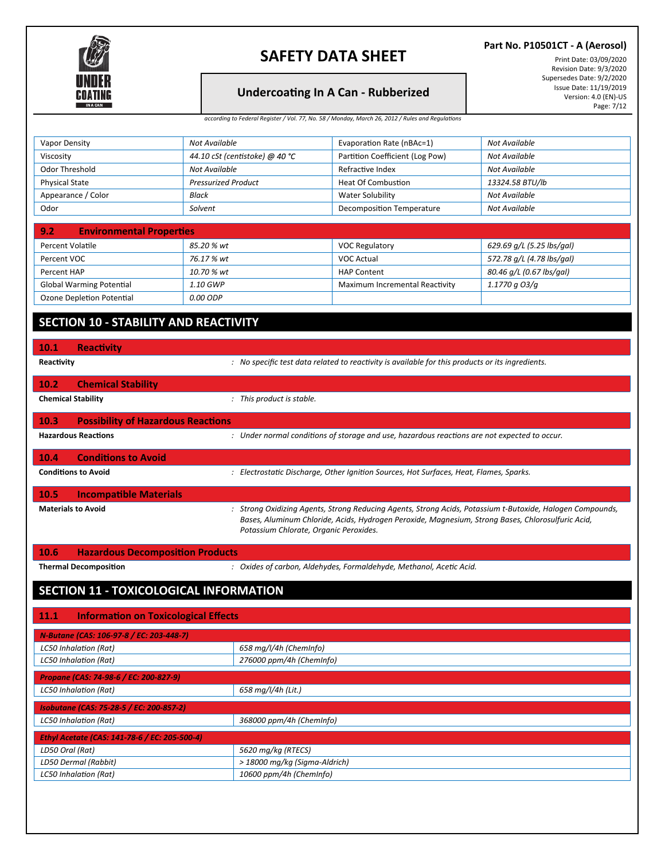

### **Part No. P10501CT - A (Aerosol)**

#### Print Date: 03/09/2020 Revision Date: 9/3/2020 Supersedes Date: 9/2/2020 Issue Date: 11/19/2019 Version: 4.0 (EN)-US Page: 7/12

**Undercoa�ng In A Can - Rubberized**

| according to Federal Register / Vol. 77, No. 58 / Monday, March 26, 2012 / Rules and Regulations |  |  |
|--------------------------------------------------------------------------------------------------|--|--|

| <b>Vapor Density</b>                                | Not Available                                                                                                                                                                                                                                            | Evaporation Rate (nBAc=1)                                                                        | Not Available             |  |
|-----------------------------------------------------|----------------------------------------------------------------------------------------------------------------------------------------------------------------------------------------------------------------------------------------------------------|--------------------------------------------------------------------------------------------------|---------------------------|--|
| Viscosity                                           | 44.10 cSt (centistoke) @ 40 °C                                                                                                                                                                                                                           | Partition Coefficient (Log Pow)                                                                  | Not Available             |  |
| Odor Threshold                                      | Not Available                                                                                                                                                                                                                                            | Refractive Index                                                                                 | Not Available             |  |
| <b>Physical State</b>                               | <b>Pressurized Product</b>                                                                                                                                                                                                                               | <b>Heat Of Combustion</b>                                                                        | 13324.58 BTU/lb           |  |
| Appearance / Color                                  | Black                                                                                                                                                                                                                                                    | <b>Water Solubility</b>                                                                          | Not Available             |  |
| Odor                                                | Solvent                                                                                                                                                                                                                                                  | Decomposition Temperature                                                                        | Not Available             |  |
| <b>Environmental Properties</b><br>9.2              |                                                                                                                                                                                                                                                          |                                                                                                  |                           |  |
| Percent Volatile                                    | 85.20 % wt                                                                                                                                                                                                                                               | <b>VOC Regulatory</b>                                                                            | 629.69 g/L (5.25 lbs/gal) |  |
| Percent VOC                                         | 76.17 % wt                                                                                                                                                                                                                                               | <b>VOC Actual</b>                                                                                | 572.78 g/L (4.78 lbs/gal) |  |
| Percent HAP                                         | 10.70 % wt                                                                                                                                                                                                                                               | <b>HAP Content</b>                                                                               | 80.46 g/L (0.67 lbs/gal)  |  |
| <b>Global Warming Potential</b>                     | 1.10 GWP                                                                                                                                                                                                                                                 | Maximum Incremental Reactivity                                                                   | 1.1770 g O3/g             |  |
| Ozone Depletion Potential                           | 0.00 ODP                                                                                                                                                                                                                                                 |                                                                                                  |                           |  |
| <b>SECTION 10 - STABILITY AND REACTIVITY</b>        |                                                                                                                                                                                                                                                          |                                                                                                  |                           |  |
| 10.1<br><b>Reactivity</b>                           |                                                                                                                                                                                                                                                          |                                                                                                  |                           |  |
| Reactivity                                          |                                                                                                                                                                                                                                                          | : No specific test data related to reactivity is available for this products or its ingredients. |                           |  |
| <b>Chemical Stability</b><br>10.2                   |                                                                                                                                                                                                                                                          |                                                                                                  |                           |  |
| <b>Chemical Stability</b>                           | : This product is stable.                                                                                                                                                                                                                                |                                                                                                  |                           |  |
| <b>Possibility of Hazardous Reactions</b><br>10.3   |                                                                                                                                                                                                                                                          |                                                                                                  |                           |  |
| <b>Hazardous Reactions</b>                          |                                                                                                                                                                                                                                                          | : Under normal conditions of storage and use, hazardous reactions are not expected to occur.     |                           |  |
| 10.4<br><b>Conditions to Avoid</b>                  |                                                                                                                                                                                                                                                          |                                                                                                  |                           |  |
| <b>Conditions to Avoid</b>                          |                                                                                                                                                                                                                                                          | : Electrostatic Discharge, Other Ignition Sources, Hot Surfaces, Heat, Flames, Sparks.           |                           |  |
| 10.5<br><b>Incompatible Materials</b>               |                                                                                                                                                                                                                                                          |                                                                                                  |                           |  |
| <b>Materials to Avoid</b>                           | : Strong Oxidizing Agents, Strong Reducing Agents, Strong Acids, Potassium t-Butoxide, Halogen Compounds,<br>Bases, Aluminum Chloride, Acids, Hydrogen Peroxide, Magnesium, Strong Bases, Chlorosulfuric Acid,<br>Potassium Chlorate, Organic Peroxides. |                                                                                                  |                           |  |
| <b>Hazardous Decomposition Products</b><br>10.6     |                                                                                                                                                                                                                                                          |                                                                                                  |                           |  |
| <b>Thermal Decomposition</b>                        |                                                                                                                                                                                                                                                          | : Oxides of carbon, Aldehydes, Formaldehyde, Methanol, Acetic Acid.                              |                           |  |
| SECTION 11 - TOXICOLOGICAL INFORMATION              |                                                                                                                                                                                                                                                          |                                                                                                  |                           |  |
| <b>Information on Toxicological Effects</b><br>11.1 |                                                                                                                                                                                                                                                          |                                                                                                  |                           |  |
| N-Butane (CAS: 106-97-8 / EC: 203-448-7)            |                                                                                                                                                                                                                                                          |                                                                                                  |                           |  |
| 658 mg/l/4h (ChemInfo)                              |                                                                                                                                                                                                                                                          |                                                                                                  |                           |  |
| LC50 Inhalation (Rat)                               |                                                                                                                                                                                                                                                          |                                                                                                  |                           |  |
| LC50 Inhalation (Rat)                               | 276000 ppm/4h (ChemInfo)                                                                                                                                                                                                                                 |                                                                                                  |                           |  |
| Propane (CAS: 74-98-6 / EC: 200-827-9)              |                                                                                                                                                                                                                                                          |                                                                                                  |                           |  |
| <b>LC50 Inhalation (Rat)</b>                        | 658 mg/l/4h (Lit.)                                                                                                                                                                                                                                       |                                                                                                  |                           |  |
| <b>Isobutane (CAS: 75-28-5 / EC: 200-857-2)</b>     |                                                                                                                                                                                                                                                          |                                                                                                  |                           |  |
| <b>LC50 Inhalation (Rat)</b>                        | 368000 ppm/4h (ChemInfo)                                                                                                                                                                                                                                 |                                                                                                  |                           |  |
| Ethyl Acetate (CAS: 141-78-6 / EC: 205-500-4)       |                                                                                                                                                                                                                                                          |                                                                                                  |                           |  |
| LD50 Oral (Rat)                                     | 5620 mg/kg (RTECS)                                                                                                                                                                                                                                       |                                                                                                  |                           |  |
| LD50 Dermal (Rabbit)                                | > 18000 mg/kg (Sigma-Aldrich)                                                                                                                                                                                                                            |                                                                                                  |                           |  |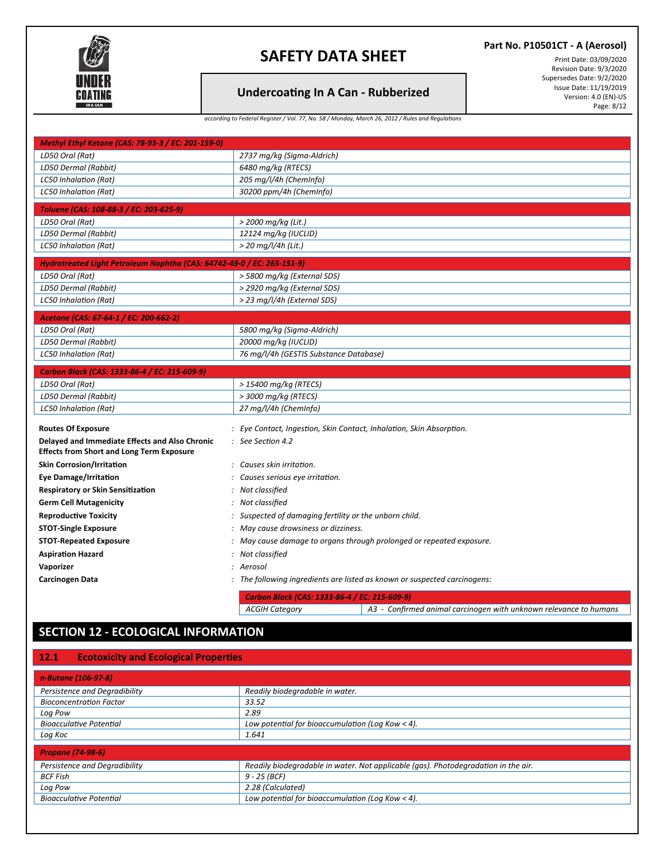

### **Part No. P10501CT - A (Aerosol)**

#### Print Date: 03/09/2020 Revision Date: 9/3/2020 Supersedes Date: 9/2/2020 Issue Date: 11/19/2019 Version: 4.0 (EN)-US Page: 8/12

### **Undercoa�ng In A Can - Rubberized**

|  |  | according to Federal Register / Vol. 77, No. 58 / Monday, March 26, 2012 / Rules and Regulations |
|--|--|--------------------------------------------------------------------------------------------------|
|  |  |                                                                                                  |

| Methyl Ethyl Ketone (CAS: 78-93-3 / EC: 201-159-0)                     |                                                                                            |  |  |
|------------------------------------------------------------------------|--------------------------------------------------------------------------------------------|--|--|
| LD50 Oral (Rat)                                                        | 2737 mg/kg (Sigma-Aldrich)                                                                 |  |  |
| LD50 Dermal (Rabbit)                                                   | 6480 mg/kg (RTECS)                                                                         |  |  |
| LC50 Inhalation (Rat)                                                  | 205 mg/l/4h (ChemInfo)                                                                     |  |  |
| LC50 Inhalation (Rat)                                                  | 30200 ppm/4h (ChemInfo)                                                                    |  |  |
| Toluene (CAS: 108-88-3 / EC: 203-625-9)                                |                                                                                            |  |  |
| LD50 Oral (Rat)                                                        | > 2000 mg/kg (Lit.)                                                                        |  |  |
| LD50 Dermal (Rabbit)                                                   | 12124 mg/kg (IUCLID)                                                                       |  |  |
| <b>LC50 Inhalation (Rat)</b>                                           | $>$ 20 mg/l/4h (Lit.)                                                                      |  |  |
| Hydrotreated Light Petroleum Naphtha (CAS: 64742-49-0 / EC: 265-151-9) |                                                                                            |  |  |
| LD50 Oral (Rat)                                                        | > 5800 mg/kg (External SDS)                                                                |  |  |
| LD50 Dermal (Rabbit)                                                   | > 2920 mg/kg (External SDS)                                                                |  |  |
| LC50 Inhalation (Rat)                                                  | > 23 mg/l/4h (External SDS)                                                                |  |  |
| Acetone (CAS: 67-64-1 / EC: 200-662-2)                                 |                                                                                            |  |  |
| LD50 Oral (Rat)                                                        | 5800 mg/kg (Sigma-Aldrich)                                                                 |  |  |
| LD50 Dermal (Rabbit)                                                   | 20000 mg/kg (IUCLID)                                                                       |  |  |
| LC50 Inhalation (Rat)                                                  | 76 mg/l/4h (GESTIS Substance Database)                                                     |  |  |
| Carbon Black (CAS: 1333-86-4 / EC: 215-609-9)                          |                                                                                            |  |  |
| LD50 Oral (Rat)                                                        | > 15400 mg/kg (RTECS)                                                                      |  |  |
| LD50 Dermal (Rabbit)                                                   | $>$ 3000 mg/kg (RTECS)                                                                     |  |  |
| LC50 Inhalation (Rat)                                                  | 27 mg/l/4h (Cheminfo)                                                                      |  |  |
| <b>Routes Of Exposure</b>                                              | : Eye Contact, Ingestion, Skin Contact, Inhalation, Skin Absorption.                       |  |  |
| Delayed and Immediate Effects and Also Chronic                         | $\therefore$ See Section 4.2                                                               |  |  |
| <b>Effects from Short and Long Term Exposure</b>                       |                                                                                            |  |  |
| <b>Skin Corrosion/Irritation</b>                                       | : Causes skin irritation.                                                                  |  |  |
| <b>Eye Damage/Irritation</b>                                           | : Causes serious eye irritation.                                                           |  |  |
| <b>Respiratory or Skin Sensitization</b>                               | : Not classified                                                                           |  |  |
| <b>Germ Cell Mutagenicity</b>                                          | : Not classified                                                                           |  |  |
| <b>Reproductive Toxicity</b>                                           | : Suspected of damaging fertility or the unborn child.                                     |  |  |
| <b>STOT-Single Exposure</b>                                            | : May cause drowsiness or dizziness.                                                       |  |  |
| <b>STOT-Repeated Exposure</b>                                          | : May cause damage to organs through prolonged or repeated exposure.                       |  |  |
| <b>Aspiration Hazard</b>                                               | : Not classified                                                                           |  |  |
| Vaporizer                                                              | : Aerosol                                                                                  |  |  |
| <b>Carcinogen Data</b>                                                 | : The following ingredients are listed as known or suspected carcinogens:                  |  |  |
|                                                                        | Carbon Black (CAS: 1333-86-4 / EC: 215-609-9)                                              |  |  |
|                                                                        | A3 - Confirmed animal carcinogen with unknown relevance to humans<br><b>ACGIH Category</b> |  |  |

## **SECTION 12 - ECOLOGICAL INFORMATION**

### **12.1 Ecotoxicity and Ecological Proper�es**

| n-Butane (106-97-8)            |                                                                                    |
|--------------------------------|------------------------------------------------------------------------------------|
| Persistence and Degradibility  | Readily biodegradable in water.                                                    |
| <b>Bioconcentration Factor</b> | 33.52                                                                              |
| Log Pow                        | 2.89                                                                               |
| <b>Bioacculative Potential</b> | Low potential for bioaccumulation (Log Kow < 4).                                   |
| Log Koc                        | 1.641                                                                              |
| <b>Propane (74-98-6)</b>       |                                                                                    |
| Persistence and Degradibility  | Readily biodegradable in water. Not applicable (gas). Photodegradation in the air. |
| <b>BCF Fish</b>                | 9 - 25 (BCF)                                                                       |
| Log Pow                        | 2.28 (Calculated)                                                                  |
| <b>Bioacculative Potential</b> | Low potential for bioaccumulation (Log Kow < 4).                                   |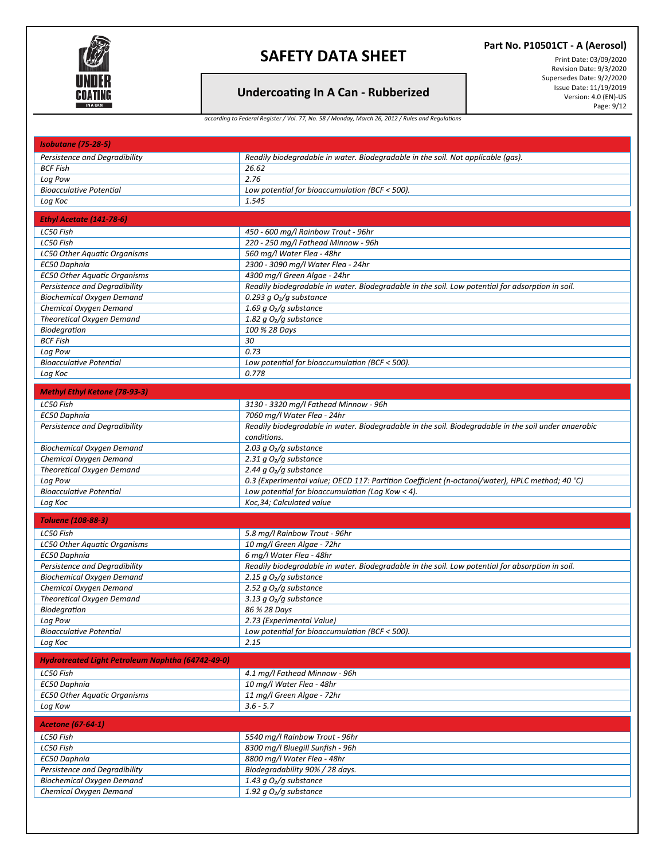

## **Undercoa�ng In A Can - Rubberized**

**Part No. P10501CT - A (Aerosol)**

Print Date: 03/09/2020 Revision Date: 9/3/2020 Supersedes Date: 9/2/2020 Issue Date: 11/19/2019 Version: 4.0 (EN)-US Page: 9/12

*according to Federal Register / Vol. 77, No. 58 / Monday, March 26, 2012 / Rules and Regulations*

| <b>Isobutane (75-28-5)</b>                                        |                                                                                                      |  |
|-------------------------------------------------------------------|------------------------------------------------------------------------------------------------------|--|
| Persistence and Degradibility                                     | Readily biodegradable in water. Biodegradable in the soil. Not applicable (qas).                     |  |
| <b>BCF Fish</b>                                                   | 26.62                                                                                                |  |
| Log Pow                                                           | 2.76                                                                                                 |  |
| <b>Bioacculative Potential</b>                                    | Low potential for bioaccumulation (BCF < 500).                                                       |  |
| Log Koc                                                           | 1.545                                                                                                |  |
| Ethyl Acetate (141-78-6)                                          |                                                                                                      |  |
|                                                                   |                                                                                                      |  |
| LC50 Fish                                                         | 450 - 600 mg/l Rainbow Trout - 96hr                                                                  |  |
| LC50 Fish                                                         | 220 - 250 mg/l Fathead Minnow - 96h                                                                  |  |
| LC50 Other Aquatic Organisms                                      | 560 mg/l Water Flea - 48hr                                                                           |  |
| EC50 Daphnia                                                      | 2300 - 3090 mg/l Water Flea - 24hr                                                                   |  |
| <b>EC50 Other Aquatic Organisms</b>                               | 4300 mg/l Green Algae - 24hr                                                                         |  |
| Persistence and Degradibility                                     | Readily biodegradable in water. Biodegradable in the soil. Low potential for adsorption in soil.     |  |
| <b>Biochemical Oxygen Demand</b>                                  | 0.293 g $O2/g$ substance                                                                             |  |
| Chemical Oxygen Demand                                            | 1.69 g $O2/g$ substance                                                                              |  |
| Theoretical Oxygen Demand                                         | 1.82 g $O2/g$ substance                                                                              |  |
| Biodegration                                                      | 100 % 28 Days                                                                                        |  |
| <b>BCF Fish</b>                                                   | 30                                                                                                   |  |
| Log Pow<br><b>Bioacculative Potential</b>                         | 0.73                                                                                                 |  |
|                                                                   | Low potential for bioaccumulation (BCF < 500).<br>0.778                                              |  |
| Log Koc                                                           |                                                                                                      |  |
| <b>Methyl Ethyl Ketone (78-93-3)</b>                              |                                                                                                      |  |
| LC50 Fish                                                         | 3130 - 3320 mg/l Fathead Minnow - 96h                                                                |  |
| EC50 Daphnia                                                      | 7060 mg/l Water Flea - 24hr                                                                          |  |
| Persistence and Degradibility                                     | Readily biodegradable in water. Biodegradable in the soil. Biodegradable in the soil under anaerobic |  |
|                                                                   | conditions.                                                                                          |  |
| <b>Biochemical Oxygen Demand</b>                                  | 2.03 g $O2/g$ substance                                                                              |  |
| Chemical Oxygen Demand                                            | 2.31 g $O2/g$ substance                                                                              |  |
| Theoretical Oxygen Demand                                         | 2.44 g $O2/g$ substance                                                                              |  |
| Log Pow                                                           | 0.3 (Experimental value; OECD 117: Partition Coefficient (n-octanol/water), HPLC method; 40 °C)      |  |
| <b>Bioacculative Potential</b>                                    | Low potential for bioaccumulation (Log Kow < 4).                                                     |  |
| Log Koc                                                           | Koc, 34; Calculated value                                                                            |  |
|                                                                   |                                                                                                      |  |
| <b>Toluene (108-88-3)</b>                                         |                                                                                                      |  |
| LC50 Fish                                                         | 5.8 mg/l Rainbow Trout - 96hr                                                                        |  |
| LC50 Other Aquatic Organisms                                      | 10 mg/l Green Algae - 72hr                                                                           |  |
| EC50 Daphnia                                                      | 6 mg/l Water Flea - 48hr                                                                             |  |
| Persistence and Degradibility                                     | Readily biodegradable in water. Biodegradable in the soil. Low potential for absorption in soil.     |  |
| <b>Biochemical Oxygen Demand</b>                                  | 2.15 g $O2/g$ substance                                                                              |  |
| Chemical Oxygen Demand                                            | 2.52 g $O2/g$ substance                                                                              |  |
| Theoretical Oxygen Demand                                         | 3.13 $g O2/g$ substance                                                                              |  |
| Biodegration                                                      | 86 % 28 Days                                                                                         |  |
| Log Pow<br><b>Bioacculative Potential</b>                         | 2.73 (Experimental Value)<br>Low potential for bioaccumulation (BCF < 500).                          |  |
|                                                                   | 2.15                                                                                                 |  |
| Log Koc                                                           |                                                                                                      |  |
| <b>Hydrotreated Light Petroleum Naphtha (64742-49-0)</b>          |                                                                                                      |  |
| LC50 Fish                                                         | 4.1 mg/l Fathead Minnow - 96h                                                                        |  |
| EC50 Daphnia                                                      | 10 mg/l Water Flea - 48hr                                                                            |  |
| <b>EC50 Other Aquatic Organisms</b>                               | 11 mg/l Green Algae - 72hr                                                                           |  |
| Log Kow                                                           | $3.6 - 5.7$                                                                                          |  |
| <b>Acetone (67-64-1)</b>                                          |                                                                                                      |  |
|                                                                   |                                                                                                      |  |
| LC50 Fish<br>LC50 Fish                                            | 5540 mg/l Rainbow Trout - 96hr<br>8300 mg/l Bluegill Sunfish - 96h                                   |  |
| EC50 Daphnia                                                      | 8800 mg/l Water Flea - 48hr                                                                          |  |
|                                                                   |                                                                                                      |  |
| Persistence and Degradibility<br><b>Biochemical Oxygen Demand</b> | Biodegradability 90% / 28 days.<br>1.43 g $O2/g$ substance                                           |  |
| Chemical Oxygen Demand                                            | 1.92 g $O2/g$ substance                                                                              |  |
|                                                                   |                                                                                                      |  |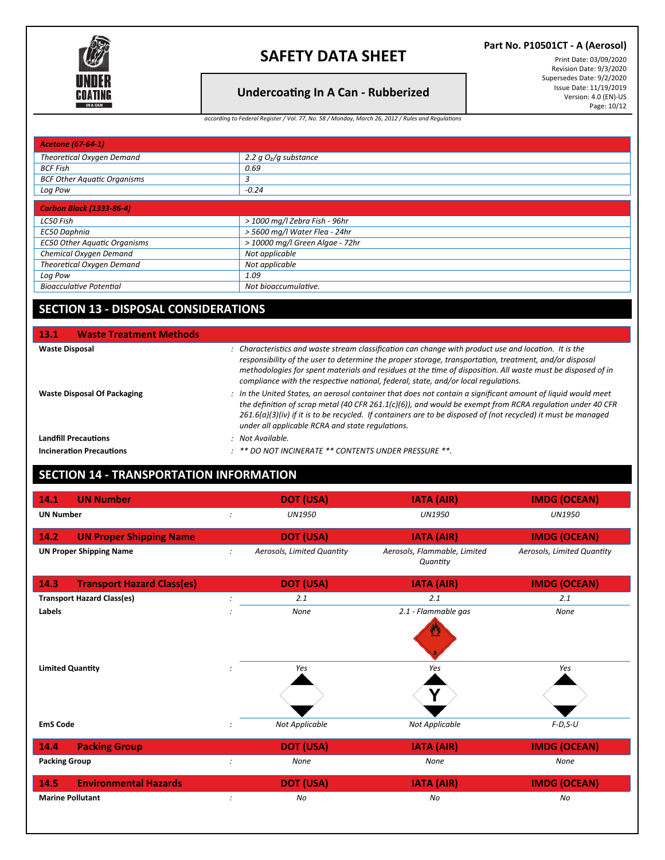

### **Part No. P10501CT - A (Aerosol)**

## **Undercoa�ng In A Can - Rubberized**

Print Date: 03/09/2020 Revision Date: 9/3/2020 Supersedes Date: 9/2/2020 Issue Date: 11/19/2019 Version: 4.0 (EN)-US Page: 10/12

*according to Federal Register / Vol. 77, No. 58 / Monday, March 26, 2012 / Rules and Regulations*

| <b>Acetone (67-64-1)</b>            |                                 |  |
|-------------------------------------|---------------------------------|--|
| <b>Theoretical Oxygen Demand</b>    | 2.2 $qO2/q$ substance           |  |
| BCF Fish                            | 0.69                            |  |
| <b>BCF Other Aquatic Organisms</b>  | 3                               |  |
| Log Pow                             | $-0.24$                         |  |
| <b>Carbon Black (1333-86-4)</b>     |                                 |  |
| LC50 Fish                           | > 1000 mg/l Zebra Fish - 96hr   |  |
| EC50 Daphnia                        | > 5600 mg/l Water Flea - 24hr   |  |
| <b>EC50 Other Aquatic Organisms</b> | > 10000 mg/l Green Algae - 72hr |  |
| Chemical Oxygen Demand              | Not applicable                  |  |
| Theoretical Oxygen Demand           | Not applicable                  |  |
| Log Pow                             | 1.09                            |  |
| <b>Bioacculative Potential</b>      | Not bioaccumulative.            |  |

## **SECTION 13 - DISPOSAL CONSIDERATIONS**

| <b>Waste Treatment Methods</b><br><b>13.1</b> |                                                                                                                                                                                                                                                                                                                                                                                                                      |
|-----------------------------------------------|----------------------------------------------------------------------------------------------------------------------------------------------------------------------------------------------------------------------------------------------------------------------------------------------------------------------------------------------------------------------------------------------------------------------|
| <b>Waste Disposal</b>                         | : Characteristics and waste stream classification can change with product use and location. It is the<br>responsibility of the user to determine the proper storage, transportation, treatment, and/or disposal<br>methodologies for spent materials and residues at the time of disposition. All waste must be disposed of in<br>compliance with the respective national, federal, state, and/or local regulations. |
| <b>Waste Disposal Of Packaging</b>            | : In the United States, an aerosol container that does not contain a significant amount of liquid would meet<br>the definition of scrap metal (40 CFR 261.1(c)(6)), and would be exempt from RCRA regulation under 40 CFR<br>$261.6(a)(3)(iv)$ if it is to be recycled. If containers are to be disposed of (not recycled) it must be managed<br>under all applicable RCRA and state regulations.                    |
| <b>Landfill Precautions</b>                   | : Not Available.                                                                                                                                                                                                                                                                                                                                                                                                     |
| <b>Incineration Precautions</b>               | $\therefore$ ** DO NOT INCINERATE ** CONTENTS UNDER PRESSURE **.                                                                                                                                                                                                                                                                                                                                                     |

## **SECTION 14 - TRANSPORTATION INFORMATION**

| 14.1<br><b>UN Number</b>                  |                      | <b>DOT (USA)</b>           | <b>IATA (AIR)</b>                        | <b>IMDG (OCEAN)</b>        |
|-------------------------------------------|----------------------|----------------------------|------------------------------------------|----------------------------|
| <b>UN Number</b>                          |                      | <b>UN1950</b>              | <b>UN1950</b>                            | <b>UN1950</b>              |
| 14.2<br><b>UN Proper Shipping Name</b>    |                      | <b>DOT (USA)</b>           | <b>IATA (AIR)</b>                        | <b>IMDG (OCEAN)</b>        |
| <b>UN Proper Shipping Name</b>            | $\mathcal{I}$        | Aerosols, Limited Quantity | Aerosols, Flammable, Limited<br>Quantity | Aerosols, Limited Quantity |
| 14.3<br><b>Transport Hazard Class(es)</b> |                      | <b>DOT (USA)</b>           | <b>IATA (AIR)</b>                        | <b>IMDG (OCEAN)</b>        |
| <b>Transport Hazard Class(es)</b>         |                      | 2.1                        | 2.1                                      | 2.1                        |
| Labels                                    |                      | None                       | 2.1 - Flammable gas<br>፵                 | None                       |
| <b>Limited Quantity</b>                   | $\ddot{\phantom{a}}$ | Yes                        | Yes<br>V                                 | Yes                        |
| <b>EmS Code</b>                           |                      | Not Applicable             | <b>Not Applicable</b>                    | $F-D, S-U$                 |
| 14.4<br><b>Packing Group</b>              |                      | <b>DOT (USA)</b>           | <b>IATA (AIR)</b>                        | <b>IMDG (OCEAN)</b>        |
| <b>Packing Group</b>                      | $\ddot{\phantom{a}}$ | None                       | None                                     | None                       |
| <b>Environmental Hazards</b><br>14.5      |                      | <b>DOT (USA)</b>           | <b>IATA (AIR)</b>                        | <b>IMDG (OCEAN)</b>        |
| <b>Marine Pollutant</b>                   |                      | No                         | No                                       | No                         |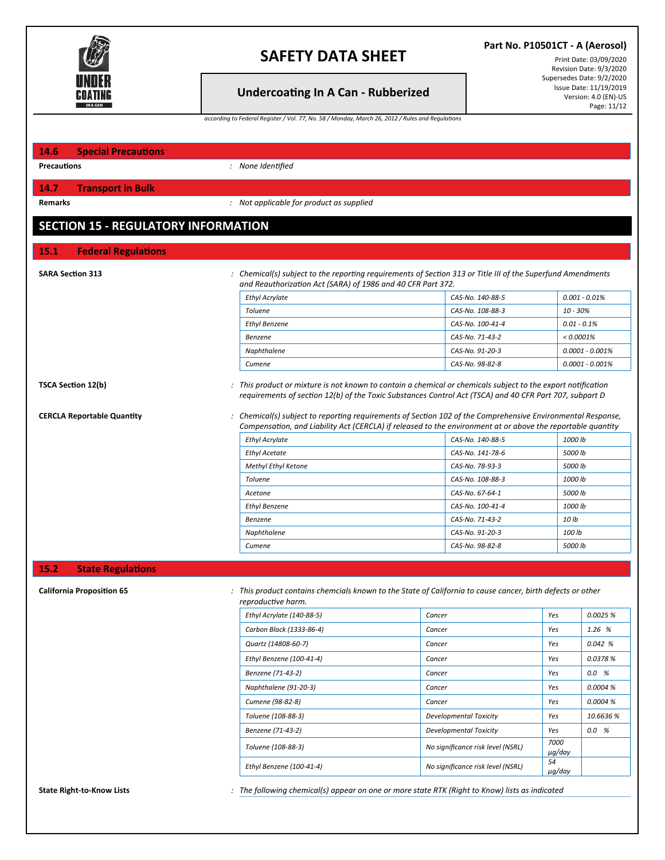

## **Undercoa�ng In A Can - Rubberized**

**Part No. P10501CT - A (Aerosol)**

Print Date: 03/09/2020 Revision Date: 9/3/2020 Supersedes Date: 9/2/2020 Issue Date: 11/19/2019 Version: 4.0 (EN)-US Page: 11/12

*according to Federal Register / Vol. 77, No. 58 / Monday, March 26, 2012 / Rules and Regulations*

| 14.6<br><b>Special Precautions</b>         |                                                                                                                                                                                                                            |                                    |                                                                                                         |
|--------------------------------------------|----------------------------------------------------------------------------------------------------------------------------------------------------------------------------------------------------------------------------|------------------------------------|---------------------------------------------------------------------------------------------------------|
| <b>Precautions</b>                         | : None Identified                                                                                                                                                                                                          |                                    |                                                                                                         |
| <b>Transport in Bulk</b><br>14.7           |                                                                                                                                                                                                                            |                                    |                                                                                                         |
| Remarks                                    | : Not applicable for product as supplied                                                                                                                                                                                   |                                    |                                                                                                         |
| <b>SECTION 15 - REGULATORY INFORMATION</b> |                                                                                                                                                                                                                            |                                    |                                                                                                         |
| <b>Federal Regulations</b><br>15.1         |                                                                                                                                                                                                                            |                                    |                                                                                                         |
| <b>SARA Section 313</b>                    | : Chemical(s) subject to the reporting requirements of Section 313 or Title III of the Superfund Amendments<br>and Reauthorization Act (SARA) of 1986 and 40 CFR Part 372.                                                 |                                    |                                                                                                         |
|                                            | <b>Ethyl Acrylate</b>                                                                                                                                                                                                      | CAS-No. 140-88-5                   | $0.001 - 0.01\%$                                                                                        |
|                                            | <b>Toluene</b>                                                                                                                                                                                                             | CAS-No. 108-88-3                   | 10 - 30%                                                                                                |
|                                            | <b>Ethyl Benzene</b>                                                                                                                                                                                                       | CAS-No. 100-41-4                   | $0.01 - 0.1%$                                                                                           |
|                                            | <b>Benzene</b>                                                                                                                                                                                                             | CAS-No. 71-43-2                    | $< 0.0001\%$                                                                                            |
|                                            | Naphthalene                                                                                                                                                                                                                | CAS-No. 91-20-3                    | $0.0001 - 0.001%$                                                                                       |
|                                            | Cumene                                                                                                                                                                                                                     | CAS-No. 98-82-8                    | $0.0001 - 0.001%$                                                                                       |
|                                            | : Chemical(s) subject to reporting requirements of Section 102 of the Comprehensive Environmental Response,<br>Compensation, and Liability Act (CERCLA) if released to the environment at or above the reportable quantity |                                    | requirements of section 12(b) of the Toxic Substances Control Act (TSCA) and 40 CFR Part 707, subpart D |
|                                            |                                                                                                                                                                                                                            |                                    |                                                                                                         |
|                                            | <b>Ethyl Acrylate</b>                                                                                                                                                                                                      | CAS-No. 140-88-5                   | 1000 lb                                                                                                 |
|                                            | <b>Ethyl Acetate</b>                                                                                                                                                                                                       | CAS-No. 141-78-6                   | 5000 lb                                                                                                 |
|                                            | Methyl Ethyl Ketone                                                                                                                                                                                                        | CAS-No. 78-93-3                    | 5000 lb                                                                                                 |
|                                            | <b>Toluene</b>                                                                                                                                                                                                             | CAS-No. 108-88-3                   | 1000 lb                                                                                                 |
|                                            | Acetone                                                                                                                                                                                                                    | CAS-No. 67-64-1                    | 5000 lb                                                                                                 |
|                                            | <b>Ethyl Benzene</b>                                                                                                                                                                                                       | CAS-No. 100-41-4                   | 1000 lb                                                                                                 |
|                                            | Benzene                                                                                                                                                                                                                    | CAS-No. 71-43-2<br>CAS-No. 91-20-3 | 10 lb<br>100 lb                                                                                         |
|                                            | Naphthalene<br>Cumene                                                                                                                                                                                                      | CAS-No. 98-82-8                    | 5000 lb                                                                                                 |
| <b>CERCLA Reportable Quantity</b>          |                                                                                                                                                                                                                            |                                    |                                                                                                         |
| 15.2<br><b>State Regulations</b>           |                                                                                                                                                                                                                            |                                    |                                                                                                         |
| <b>California Proposition 65</b>           | : This product contains chemcials known to the State of California to cause cancer, birth defects or other<br>reproductive harm.                                                                                           |                                    |                                                                                                         |
|                                            | Ethyl Acrylate (140-88-5)                                                                                                                                                                                                  | Cancer                             | Yes                                                                                                     |
|                                            | Carbon Black (1333-86-4)                                                                                                                                                                                                   |                                    | 0.0025 %<br>Yes                                                                                         |
|                                            |                                                                                                                                                                                                                            | Cancer                             |                                                                                                         |
|                                            | Quartz (14808-60-7)                                                                                                                                                                                                        | Cancer                             | 1.26 %<br>Yes<br>0.042%                                                                                 |
|                                            | Ethyl Benzene (100-41-4)<br>Benzene (71-43-2)                                                                                                                                                                              | Cancer<br>Cancer                   | 0.0378 %<br>Yes<br>0.0%<br>Yes                                                                          |

State Right-to-Know Lists examples the following chemical(s) appear on one or more state RTK (Right to Know) lists as indicated

*Toluene (108-88-3) No significance risk level (NSRL) <sup>7000</sup>*

*Ethyl Benzene (100-41-4) No significance risk level (NSRL) <sup>54</sup>*

*Cumene (98-82-8) Cancer Yes 0.0004 % Toluene (108-88-3) Developmental Toxicity Yes 10.6636 % Benzene (71-43-2) Developmental Toxicity Yes 0.0 %*

*µg/day*

*µg/day*